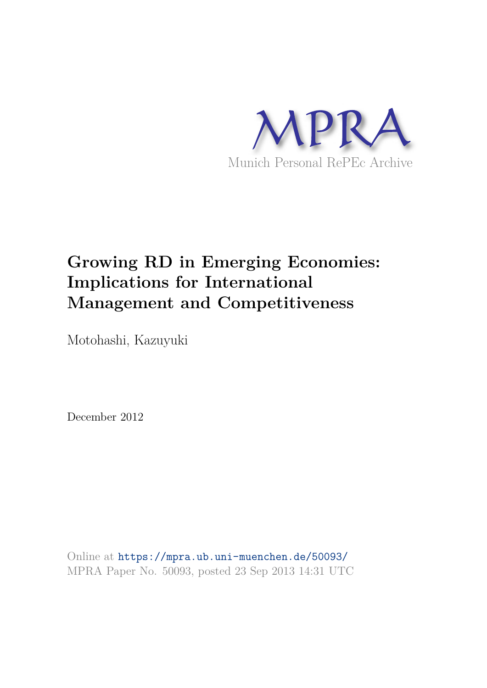

# **Growing RD in Emerging Economies: Implications for International Management and Competitiveness**

Motohashi, Kazuyuki

December 2012

Online at https://mpra.ub.uni-muenchen.de/50093/ MPRA Paper No. 50093, posted 23 Sep 2013 14:31 UTC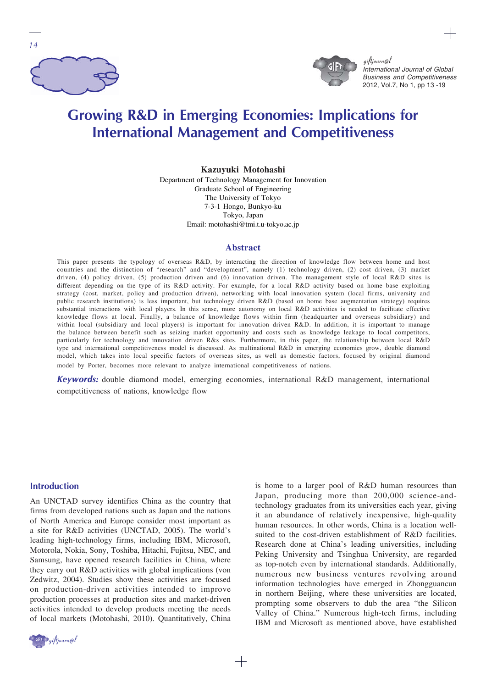



giftjourn@l International Journal of Global Business and Competitiveness 2012, Vol.7, No 1, pp 13 -19

# **Growing R&D in Emerging Economies: Implications for International Management and Competitiveness**

#### **Kazuyuki Motohashi**

Department of Technology Management for Innovation Graduate School of Engineering The University of Tokyo 7-3-1 Hongo, Bunkyo-ku Tokyo, Japan Email: motohashi@tmi.t.u-tokyo.ac.jp

#### **Abstract**

This paper presents the typology of overseas R&D, by interacting the direction of knowledge flow between home and host countries and the distinction of "research" and "development", namely (1) technology driven, (2) cost driven, (3) market driven, (4) policy driven, (5) production driven and (6) innovation driven. The management style of local R&D sites is different depending on the type of its R&D activity. For example, for a local R&D activity based on home base exploiting strategy (cost, market, policy and production driven), networking with local innovation system (local firms, university and public research institutions) is less important, but technology driven R&D (based on home base augmentation strategy) requires substantial interactions with local players. In this sense, more autonomy on local R&D activities is needed to facilitate effective knowledge flows at local. Finally, a balance of knowledge flows within firm (headquarter and overseas subsidiary) and within local (subsidiary and local players) is important for innovation driven R&D. In addition, it is important to manage the balance between benefit such as seizing market opportunity and costs such as knowledge leakage to local competitors, particularly for technology and innovation driven R&s sites. Furthermore, in this paper, the relationship between local R&D type and international competitiveness model is discussed. As multinational R&D in emerging economies grow, double diamond model, which takes into local specific factors of overseas sites, as well as domestic factors, focused by original diamond model by Porter, becomes more relevant to analyze international competitiveness of nations.

*Keywords:* double diamond model, emerging economies, international R&D management, international competitiveness of nations, knowledge flow

#### **Introduction**

An UNCTAD survey identifies China as the country that firms from developed nations such as Japan and the nations of North America and Europe consider most important as a site for R&D activities (UNCTAD, 2005). The world's leading high-technology firms, including IBM, Microsoft, Motorola, Nokia, Sony, Toshiba, Hitachi, Fujitsu, NEC, and Samsung, have opened research facilities in China, where they carry out R&D activities with global implications (von Zedwitz, 2004). Studies show these activities are focused on production-driven activities intended to improve production processes at production sites and market-driven activities intended to develop products meeting the needs of local markets (Motohashi, 2010). Quantitatively, China



is home to a larger pool of R&D human resources than Japan, producing more than 200,000 science-andtechnology graduates from its universities each year, giving it an abundance of relatively inexpensive, high-quality human resources. In other words, China is a location wellsuited to the cost-driven establishment of R&D facilities. Research done at China's leading universities, including Peking University and Tsinghua University, are regarded as top-notch even by international standards. Additionally, numerous new business ventures revolving around information technologies have emerged in Zhongguancun in northern Beijing, where these universities are located, prompting some observers to dub the area "the Silicon Valley of China." Numerous high-tech firms, including IBM and Microsoft as mentioned above, have established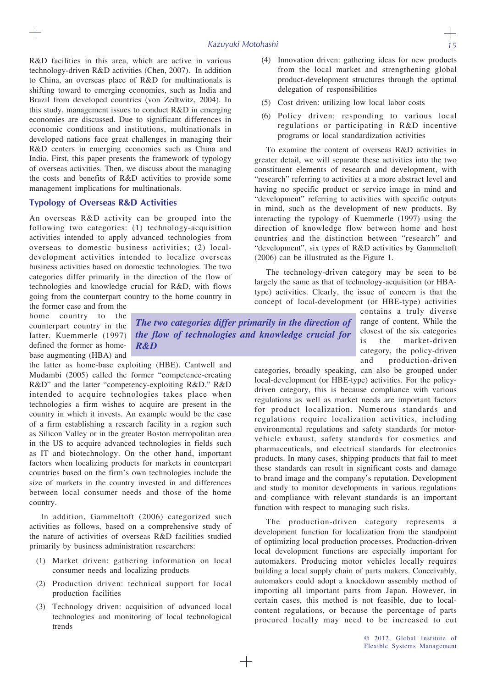R&D facilities in this area, which are active in various technology-driven R&D activities (Chen, 2007). In addition to China, an overseas place of R&D for multinationals is shifting toward to emerging economies, such as India and Brazil from developed countries (von Zedtwitz, 2004). In this study, management issues to conduct R&D in emerging economies are discussed. Due to significant differences in economic conditions and institutions, multinationals in developed nations face great challenges in managing their R&D centers in emerging economies such as China and India. First, this paper presents the framework of typology of overseas activities. Then, we discuss about the managing the costs and benefits of R&D activities to provide some management implications for multinationals.

### **Typology of Overseas R&D Activities**

An overseas R&D activity can be grouped into the following two categories: (1) technology-acquisition activities intended to apply advanced technologies from overseas to domestic business activities; (2) localdevelopment activities intended to localize overseas business activities based on domestic technologies. The two categories differ primarily in the direction of the flow of technologies and knowledge crucial for R&D, with flows going from the counterpart country to the home country in

the former case and from the home country to the counterpart country in the latter. Kuemmerle (1997) defined the former as homebase augmenting (HBA) and

*The two categories differ primarily in the direction of the flow of technologies and knowledge crucial for R&D*

the latter as home-base exploiting (HBE). Cantwell and Mudambi (2005) called the former "competence-creating R&D" and the latter "competency-exploiting R&D." R&D intended to acquire technologies takes place when technologies a firm wishes to acquire are present in the country in which it invests. An example would be the case of a firm establishing a research facility in a region such as Silicon Valley or in the greater Boston metropolitan area in the US to acquire advanced technologies in fields such as IT and biotechnology. On the other hand, important factors when localizing products for markets in counterpart countries based on the firm's own technologies include the size of markets in the country invested in and differences between local consumer needs and those of the home country.

In addition, Gammeltoft (2006) categorized such activities as follows, based on a comprehensive study of the nature of activities of overseas R&D facilities studied primarily by business administration researchers:

- (1) Market driven: gathering information on local consumer needs and localizing products
- (2) Production driven: technical support for local production facilities
- (3) Technology driven: acquisition of advanced local technologies and monitoring of local technological trends
- (4) Innovation driven: gathering ideas for new products from the local market and strengthening global product-development structures through the optimal delegation of responsibilities
- (5) Cost driven: utilizing low local labor costs
- (6) Policy driven: responding to various local regulations or participating in R&D incentive programs or local standardization activities

To examine the content of overseas R&D activities in greater detail, we will separate these activities into the two constituent elements of research and development, with "research" referring to activities at a more abstract level and having no specific product or service image in mind and "development" referring to activities with specific outputs in mind, such as the development of new products. By interacting the typology of Kuemmerle (1997) using the direction of knowledge flow between home and host countries and the distinction between "research" and "development", six types of R&D activities by Gammeltoft (2006) can be illustrated as the Figure 1.

The technology-driven category may be seen to be largely the same as that of technology-acquisition (or HBAtype) activities. Clearly, the issue of concern is that the concept of local-development (or HBE-type) activities

> contains a truly diverse range of content. While the closest of the six categories is the market-driven category, the policy-driven and production-driven

categories, broadly speaking, can also be grouped under local-development (or HBE-type) activities. For the policydriven category, this is because compliance with various regulations as well as market needs are important factors for product localization. Numerous standards and regulations require localization activities, including environmental regulations and safety standards for motorvehicle exhaust, safety standards for cosmetics and pharmaceuticals, and electrical standards for electronics products. In many cases, shipping products that fail to meet these standards can result in significant costs and damage to brand image and the company's reputation. Development and study to monitor developments in various regulations and compliance with relevant standards is an important function with respect to managing such risks.

The production-driven category represents a development function for localization from the standpoint of optimizing local production processes. Production-driven local development functions are especially important for automakers. Producing motor vehicles locally requires building a local supply chain of parts makers. Conceivably, automakers could adopt a knockdown assembly method of importing all important parts from Japan. However, in certain cases, this method is not feasible, due to localcontent regulations, or because the percentage of parts procured locally may need to be increased to cut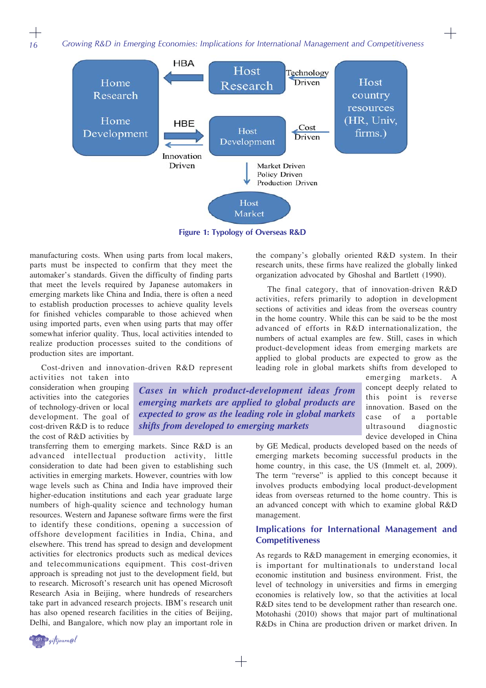*Growing R&D in Emerging Economies: Implications for International Management and Competitiveness*



**Figure 1: Typology of Overseas R&D**

*Cases in which product-development ideas from emerging markets are applied to global products are expected to grow as the leading role in global markets*

*shifts from developed to emerging markets*

manufacturing costs. When using parts from local makers, parts must be inspected to confirm that they meet the automaker's standards. Given the difficulty of finding parts that meet the levels required by Japanese automakers in emerging markets like China and India, there is often a need to establish production processes to achieve quality levels for finished vehicles comparable to those achieved when using imported parts, even when using parts that may offer somewhat inferior quality. Thus, local activities intended to realize production processes suited to the conditions of production sites are important.

Cost-driven and innovation-driven R&D represent

activities not taken into consideration when grouping activities into the categories of technology-driven or local development. The goal of cost-driven R&D is to reduce the cost of R&D activities by

transferring them to emerging markets. Since R&D is an advanced intellectual production activity, little consideration to date had been given to establishing such activities in emerging markets. However, countries with low wage levels such as China and India have improved their higher-education institutions and each year graduate large numbers of high-quality science and technology human resources. Western and Japanese software firms were the first to identify these conditions, opening a succession of offshore development facilities in India, China, and elsewhere. This trend has spread to design and development activities for electronics products such as medical devices and telecommunications equipment. This cost-driven approach is spreading not just to the development field, but to research. Microsoft's research unit has opened Microsoft Research Asia in Beijing, where hundreds of researchers take part in advanced research projects. IBM's research unit has also opened research facilities in the cities of Beijing, Delhi, and Bangalore, which now play an important role in the company's globally oriented R&D system. In their research units, these firms have realized the globally linked organization advocated by Ghoshal and Bartlett (1990).

The final category, that of innovation-driven R&D activities, refers primarily to adoption in development sections of activities and ideas from the overseas country in the home country. While this can be said to be the most advanced of efforts in R&D internationalization, the numbers of actual examples are few. Still, cases in which product-development ideas from emerging markets are applied to global products are expected to grow as the leading role in global markets shifts from developed to

emerging markets. A concept deeply related to this point is reverse innovation. Based on the case of a portable ultrasound diagnostic device developed in China

┼

by GE Medical, products developed based on the needs of emerging markets becoming successful products in the home country, in this case, the US (Immelt et. al, 2009). The term "reverse" is applied to this concept because it involves products embodying local product-development ideas from overseas returned to the home country. This is an advanced concept with which to examine global R&D management.

## **Implications for International Management and Competitiveness**

As regards to R&D management in emerging economies, it is important for multinationals to understand local economic institution and business environment. Frist, the level of technology in universities and firms in emerging economies is relatively low, so that the activities at local R&D sites tend to be development rather than research one. Motohashi (2010) shows that major part of multinational R&Ds in China are production driven or market driven. In

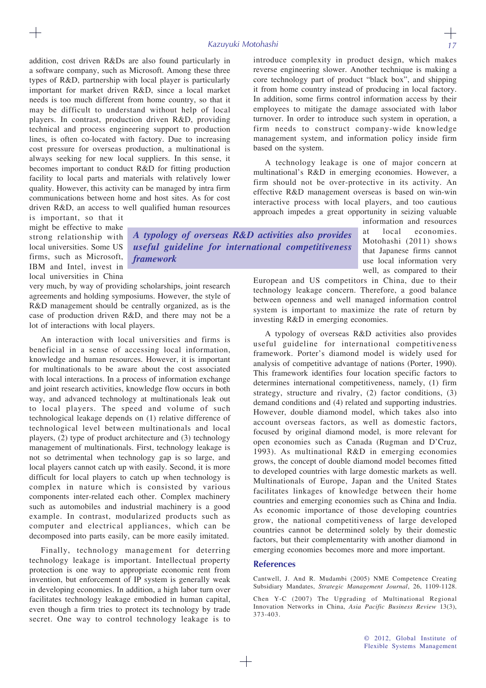addition, cost driven R&Ds are also found particularly in a software company, such as Microsoft. Among these three types of R&D, partnership with local player is particularly important for market driven R&D, since a local market needs is too much different from home country, so that it may be difficult to understand without help of local players. In contrast, production driven R&D, providing technical and process engineering support to production lines, is often co-located with factory. Due to increasing cost pressure for overseas production, a multinational is always seeking for new local suppliers. In this sense, it becomes important to conduct R&D for fitting production facility to local parts and materials with relatively lower quality. However, this activity can be managed by intra firm communications between home and host sites. As for cost driven R&D, an access to well qualified human resources

is important, so that it might be effective to make strong relationship with local universities. Some US firms, such as Microsoft, IBM and Intel, invest in local universities in China

*A typology of overseas R&D activities also provides useful guideline for international competitiveness framework*

very much, by way of providing scholarships, joint research agreements and holding symposiums. However, the style of R&D management should be centrally organized, as is the case of production driven R&D, and there may not be a lot of interactions with local players.

An interaction with local universities and firms is beneficial in a sense of accessing local information, knowledge and human resources. However, it is important for multinationals to be aware about the cost associated with local interactions. In a process of information exchange and joint research activities, knowledge flow occurs in both way, and advanced technology at multinationals leak out to local players. The speed and volume of such technological leakage depends on (1) relative difference of technological level between multinationals and local players, (2) type of product architecture and (3) technology management of multinationals. First, technology leakage is not so detrimental when technology gap is so large, and local players cannot catch up with easily. Second, it is more difficult for local players to catch up when technology is complex in nature which is consisted by various components inter-related each other. Complex machinery such as automobiles and industrial machinery is a good example. In contrast, modularized products such as computer and electrical appliances, which can be decomposed into parts easily, can be more easily imitated.

Finally, technology management for deterring technology leakage is important. Intellectual property protection is one way to appropriate economic rent from invention, but enforcement of IP system is generally weak in developing economies. In addition, a high labor turn over facilitates technology leakage embodied in human capital, even though a firm tries to protect its technology by trade secret. One way to control technology leakage is to

introduce complexity in product design, which makes reverse engineering slower. Another technique is making a core technology part of product "black box", and shipping it from home country instead of producing in local factory. In addition, some firms control information access by their employees to mitigate the damage associated with labor turnover. In order to introduce such system in operation, a firm needs to construct company-wide knowledge management system, and information policy inside firm based on the system.

A technology leakage is one of major concern at multinational's R&D in emerging economies. However, a firm should not be over-protective in its activity. An effective R&D management overseas is based on win-win interactive process with local players, and too cautious approach impedes a great opportunity in seizing valuable

> information and resources local economies. Motohashi (2011) shows that Japanese firms cannot use local information very well, as compared to their

European and US competitors in China, due to their technology leakage concern. Therefore, a good balance between openness and well managed information control system is important to maximize the rate of return by investing R&D in emerging economies.

A typology of overseas R&D activities also provides useful guideline for international competitiveness framework. Porter's diamond model is widely used for analysis of competitive advantage of nations (Porter, 1990). This framework identifies four location specific factors to determines international competitiveness, namely, (1) firm strategy, structure and rivalry, (2) factor conditions, (3) demand conditions and (4) related and supporting industries. However, double diamond model, which takes also into account overseas factors, as well as domestic factors, focused by original diamond model, is more relevant for open economies such as Canada (Rugman and D'Cruz, 1993). As multinational R&D in emerging economies grows, the concept of double diamond model becomes fitted to developed countries with large domestic markets as well. Multinationals of Europe, Japan and the United States facilitates linkages of knowledge between their home countries and emerging economies such as China and India. As economic importance of those developing countries grow, the national competitiveness of large developed countries cannot be determined solely by their domestic factors, but their complementarity with another diamond in emerging economies becomes more and more important.

#### **References**

Cantwell, J. And R. Mudambi (2005) NME Competence Creating Subsidiary Mandates, *Strategic Management Journal*, 26, 1109-1128.

Chen Y-C (2007) The Upgrading of Multinational Regional Innovation Networks in China, *Asia Pacific Business Review* 13(3), 373-403.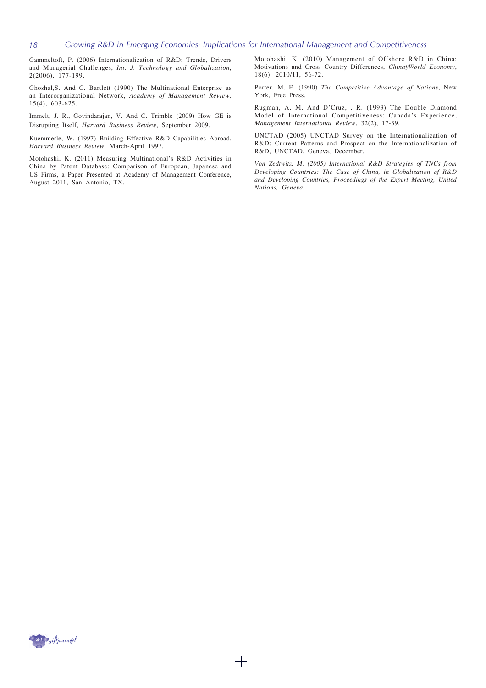$\!$ 

Gammeltoft, P. (2006) Internationalization of R&D: Trends, Drivers and Managerial Challenges, *Int. J. Technology and Globalization*, 2(2006), 177-199.

*18*

 $^{+}$ 

Ghoshal,S. And C. Bartlett (1990) The Multinational Enterprise as an Interorganizational Network, *Academy of Management Review,* 15(4), 603-625.

Immelt, J. R., Govindarajan, V. And C. Trimble (2009) How GE is Disrupting Itself, *Harvard Business Review*, September 2009.

Kuemmerle, W. (1997) Building Effective R&D Capabilities Abroad, *Harvard Business Review*, March-April 1997.

Motohashi, K. (2011) Measuring Multinational's R&D Activities in China by Patent Database: Comparison of European, Japanese and US Firms, a Paper Presented at Academy of Management Conference, August 2011, San Antonio, TX.

Motohashi, K. (2010) Management of Offshore R&D in China: Motivations and Cross Country Differences, *ChinaÿWorld Economy*, 18(6), 2010/11, 56-72.

 $\hspace{.08cm} +$ 

Porter, M. E. (1990) *The Competitive Advantage of Nations*, New York, Free Press.

Rugman, A. M. And D'Cruz, . R. (1993) The Double Diamond Model of International Competitiveness: Canada's Experience, *Management International Review*, 32(2), 17-39.

UNCTAD (2005) UNCTAD Survey on the Internationalization of R&D: Current Patterns and Prospect on the Internationalization of R&D, UNCTAD, Geneva, December.

*Von Zedtwitz, M. (2005) International R&D Strategies of TNCs from Developing Countries: The Case of China, in Globalization of R&D and Developing Countries, Proceedings of the Expert Meeting, United Nations, Geneva.*